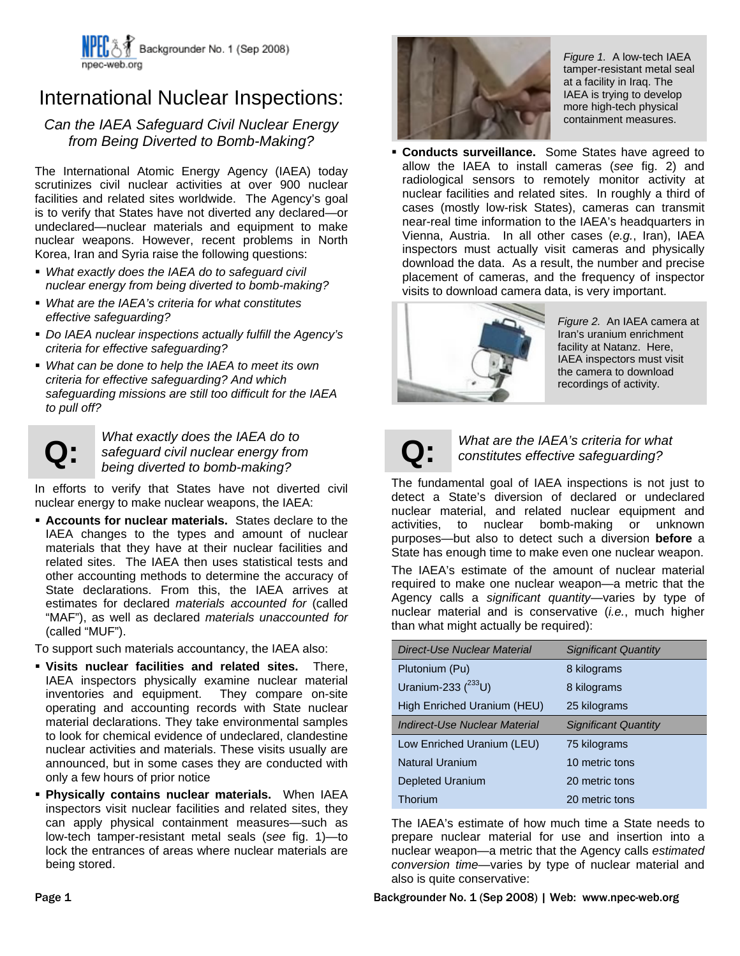

## International Nuclear Inspections:

## *Can the IAEA Safeguard Civil Nuclear Energy from Being Diverted to Bomb-Making?*

The International Atomic Energy Agency (IAEA) today scrutinizes civil nuclear activities at over 900 nuclear facilities and related sites worldwide. The Agency's goal is to verify that States have not diverted any declared—or undeclared—nuclear materials and equipment to make nuclear weapons. However, recent problems in North Korea, Iran and Syria raise the following questions:

- *What exactly does the IAEA do to safeguard civil nuclear energy from being diverted to bomb-making?*
- *What are the IAEA's criteria for what constitutes effective safeguarding?*
- *Do IAEA nuclear inspections actually fulfill the Agency's criteria for effective safeguarding?*
- *What can be done to help the IAEA to meet its own criteria for effective safeguarding? And which safeguarding missions are still too difficult for the IAEA to pull off?*



**Q:** *What exactly does the IAEA do to*<br>*safeguard civil nuclear energy from*<br>*being diverted to bomb-making*? *safeguard civil nuclear energy from being diverted to bomb-making?* 

In efforts to verify that States have not diverted civil nuclear energy to make nuclear weapons, the IAEA:

 **Accounts for nuclear materials.** States declare to the IAEA changes to the types and amount of nuclear materials that they have at their nuclear facilities and related sites. The IAEA then uses statistical tests and other accounting methods to determine the accuracy of State declarations. From this, the IAEA arrives at estimates for declared *materials accounted for* (called "MAF"), as well as declared *materials unaccounted for* (called "MUF").

To support such materials accountancy, the IAEA also:

- **Visits nuclear facilities and related sites.** There, IAEA inspectors physically examine nuclear material inventories and equipment. They compare on-site operating and accounting records with State nuclear material declarations. They take environmental samples to look for chemical evidence of undeclared, clandestine nuclear activities and materials. These visits usually are announced, but in some cases they are conducted with only a few hours of prior notice
- **Physically contains nuclear materials.** When IAEA inspectors visit nuclear facilities and related sites, they can apply physical containment measures—such as low-tech tamper-resistant metal seals (*see* fig. 1)—to lock the entrances of areas where nuclear materials are being stored.



*Figure 1.* A low-tech IAEA tamper-resistant metal seal at a facility in Iraq. The IAEA is trying to develop more high-tech physical containment measures.

 **Conducts surveillance.** Some States have agreed to allow the IAEA to install cameras (*see* fig. 2) and radiological sensors to remotely monitor activity at nuclear facilities and related sites. In roughly a third of cases (mostly low-risk States), cameras can transmit near-real time information to the IAEA's headquarters in Vienna, Austria. In all other cases (*e.g.*, Iran), IAEA inspectors must actually visit cameras and physically download the data. As a result, the number and precise placement of cameras, and the frequency of inspector visits to download camera data, is very important.



*Figure 2.* An IAEA camera at Iran's uranium enrichment facility at Natanz. Here, IAEA inspectors must visit the camera to download recordings of activity.

**Q:** *What are the IAEA's criteria for what constitutes effective safeguarding?* 

The fundamental goal of IAEA inspections is not just to detect a State's diversion of declared or undeclared nuclear material, and related nuclear equipment and activities, to nuclear bomb-making or unknown purposes—but also to detect such a diversion **before** a State has enough time to make even one nuclear weapon.

The IAEA's estimate of the amount of nuclear material required to make one nuclear weapon—a metric that the Agency calls a *significant quantity*—varies by type of nuclear material and is conservative (*i.e.*, much higher than what might actually be required):

| Direct-Use Nuclear Material   | <b>Significant Quantity</b> |
|-------------------------------|-----------------------------|
| Plutonium (Pu)                | 8 kilograms                 |
| Uranium-233 $(^{233}U)$       | 8 kilograms                 |
| High Enriched Uranium (HEU)   | 25 kilograms                |
| Indirect-Use Nuclear Material | <b>Significant Quantity</b> |
| Low Enriched Uranium (LEU)    | 75 kilograms                |
| <b>Natural Uranium</b>        | 10 metric tons              |
| <b>Depleted Uranium</b>       | 20 metric tons              |
| Thorium                       | 20 metric tons              |

The IAEA's estimate of how much time a State needs to prepare nuclear material for use and insertion into a nuclear weapon—a metric that the Agency calls *estimated conversion time*—varies by type of nuclear material and also is quite conservative:

Page 1 Backgrounder No. 1 (Sep 2008) | Web: www.npec-web.org